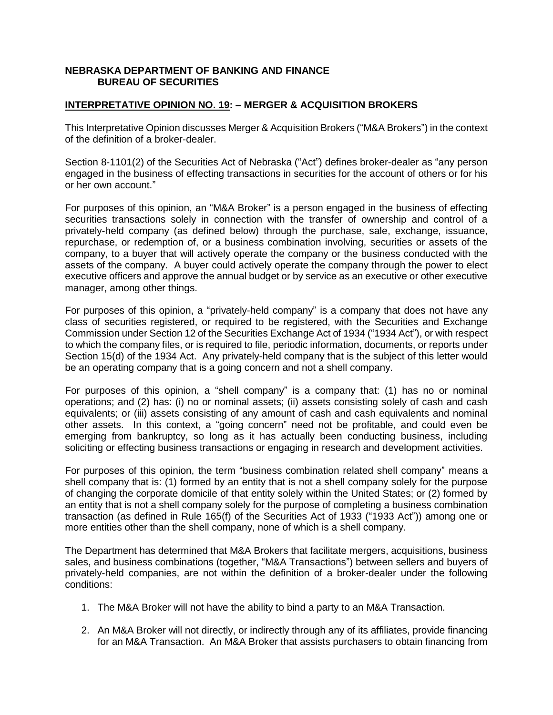## **NEBRASKA DEPARTMENT OF BANKING AND FINANCE BUREAU OF SECURITIES**

## **INTERPRETATIVE OPINION NO. 19: – MERGER & ACQUISITION BROKERS**

This Interpretative Opinion discusses Merger & Acquisition Brokers ("M&A Brokers") in the context of the definition of a broker-dealer.

Section 8-1101(2) of the Securities Act of Nebraska ("Act") defines broker-dealer as "any person engaged in the business of effecting transactions in securities for the account of others or for his or her own account."

For purposes of this opinion, an "M&A Broker" is a person engaged in the business of effecting securities transactions solely in connection with the transfer of ownership and control of a privately-held company (as defined below) through the purchase, sale, exchange, issuance, repurchase, or redemption of, or a business combination involving, securities or assets of the company, to a buyer that will actively operate the company or the business conducted with the assets of the company. A buyer could actively operate the company through the power to elect executive officers and approve the annual budget or by service as an executive or other executive manager, among other things.

For purposes of this opinion, a "privately-held company" is a company that does not have any class of securities registered, or required to be registered, with the Securities and Exchange Commission under Section 12 of the Securities Exchange Act of 1934 ("1934 Act"), or with respect to which the company files, or is required to file, periodic information, documents, or reports under Section 15(d) of the 1934 Act. Any privately-held company that is the subject of this letter would be an operating company that is a going concern and not a shell company.

For purposes of this opinion, a "shell company" is a company that: (1) has no or nominal operations; and (2) has: (i) no or nominal assets; (ii) assets consisting solely of cash and cash equivalents; or (iii) assets consisting of any amount of cash and cash equivalents and nominal other assets. In this context, a "going concern" need not be profitable, and could even be emerging from bankruptcy, so long as it has actually been conducting business, including soliciting or effecting business transactions or engaging in research and development activities.

For purposes of this opinion, the term "business combination related shell company" means a shell company that is: (1) formed by an entity that is not a shell company solely for the purpose of changing the corporate domicile of that entity solely within the United States; or (2) formed by an entity that is not a shell company solely for the purpose of completing a business combination transaction (as defined in Rule 165(f) of the Securities Act of 1933 ("1933 Act")) among one or more entities other than the shell company, none of which is a shell company.

The Department has determined that M&A Brokers that facilitate mergers, acquisitions, business sales, and business combinations (together, "M&A Transactions") between sellers and buyers of privately-held companies, are not within the definition of a broker-dealer under the following conditions:

- 1. The M&A Broker will not have the ability to bind a party to an M&A Transaction.
- 2. An M&A Broker will not directly, or indirectly through any of its affiliates, provide financing for an M&A Transaction. An M&A Broker that assists purchasers to obtain financing from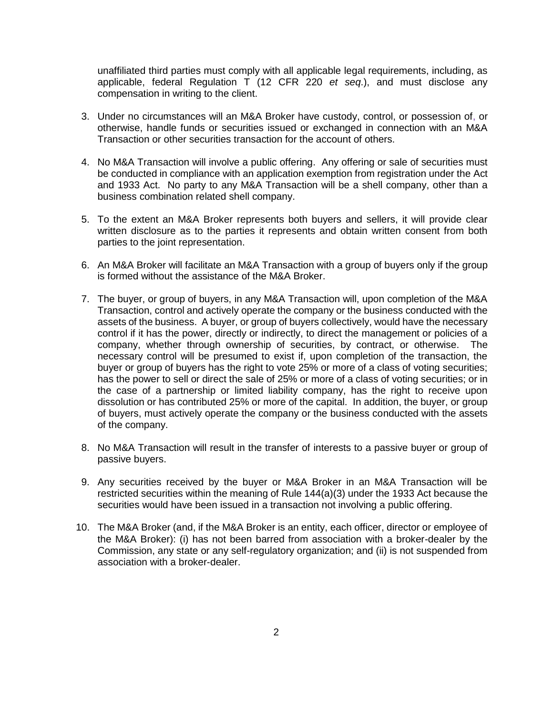unaffiliated third parties must comply with all applicable legal requirements, including, as applicable, federal Regulation T (12 CFR 220 *et seq*.), and must disclose any compensation in writing to the client.

- 3. Under no circumstances will an M&A Broker have custody, control, or possession of, or otherwise, handle funds or securities issued or exchanged in connection with an M&A Transaction or other securities transaction for the account of others.
- 4. No M&A Transaction will involve a public offering. Any offering or sale of securities must be conducted in compliance with an application exemption from registration under the Act and 1933 Act. No party to any M&A Transaction will be a shell company, other than a business combination related shell company.
- 5. To the extent an M&A Broker represents both buyers and sellers, it will provide clear written disclosure as to the parties it represents and obtain written consent from both parties to the joint representation.
- 6. An M&A Broker will facilitate an M&A Transaction with a group of buyers only if the group is formed without the assistance of the M&A Broker.
- 7. The buyer, or group of buyers, in any M&A Transaction will, upon completion of the M&A Transaction, control and actively operate the company or the business conducted with the assets of the business. A buyer, or group of buyers collectively, would have the necessary control if it has the power, directly or indirectly, to direct the management or policies of a company, whether through ownership of securities, by contract, or otherwise. The necessary control will be presumed to exist if, upon completion of the transaction, the buyer or group of buyers has the right to vote 25% or more of a class of voting securities; has the power to sell or direct the sale of 25% or more of a class of voting securities; or in the case of a partnership or limited liability company, has the right to receive upon dissolution or has contributed 25% or more of the capital. In addition, the buyer, or group of buyers, must actively operate the company or the business conducted with the assets of the company.
- 8. No M&A Transaction will result in the transfer of interests to a passive buyer or group of passive buyers.
- 9. Any securities received by the buyer or M&A Broker in an M&A Transaction will be restricted securities within the meaning of Rule 144(a)(3) under the 1933 Act because the securities would have been issued in a transaction not involving a public offering.
- 10. The M&A Broker (and, if the M&A Broker is an entity, each officer, director or employee of the M&A Broker): (i) has not been barred from association with a broker-dealer by the Commission, any state or any self-regulatory organization; and (ii) is not suspended from association with a broker-dealer.